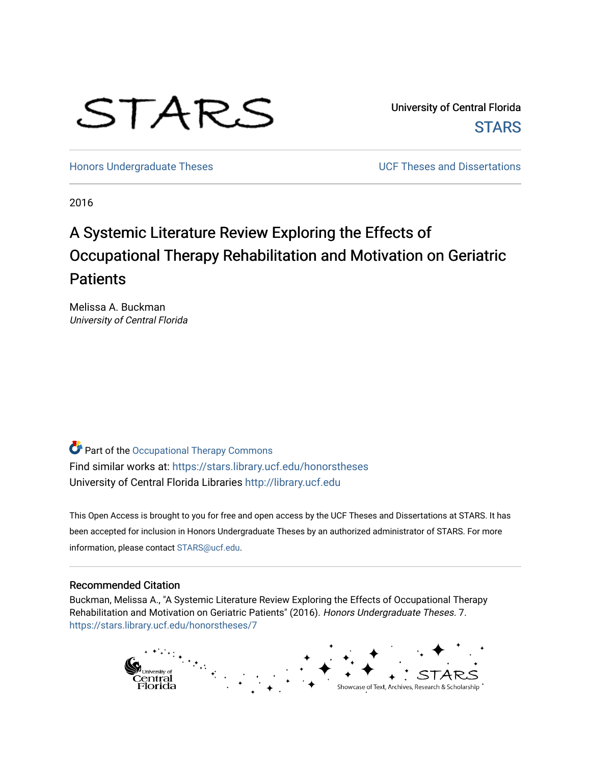# STARS

University of Central Florida **STARS** 

[Honors Undergraduate Theses](https://stars.library.ucf.edu/honorstheses) **No. 2018** UCF Theses and Dissertations

2016

# A Systemic Literature Review Exploring the Effects of Occupational Therapy Rehabilitation and Motivation on Geriatric **Patients**

Melissa A. Buckman University of Central Florida

Part of the [Occupational Therapy Commons](http://network.bepress.com/hgg/discipline/752?utm_source=stars.library.ucf.edu%2Fhonorstheses%2F7&utm_medium=PDF&utm_campaign=PDFCoverPages)  Find similar works at: <https://stars.library.ucf.edu/honorstheses> University of Central Florida Libraries [http://library.ucf.edu](http://library.ucf.edu/) 

This Open Access is brought to you for free and open access by the UCF Theses and Dissertations at STARS. It has been accepted for inclusion in Honors Undergraduate Theses by an authorized administrator of STARS. For more information, please contact [STARS@ucf.edu.](mailto:STARS@ucf.edu)

#### Recommended Citation

Buckman, Melissa A., "A Systemic Literature Review Exploring the Effects of Occupational Therapy Rehabilitation and Motivation on Geriatric Patients" (2016). Honors Undergraduate Theses. 7. [https://stars.library.ucf.edu/honorstheses/7](https://stars.library.ucf.edu/honorstheses/7?utm_source=stars.library.ucf.edu%2Fhonorstheses%2F7&utm_medium=PDF&utm_campaign=PDFCoverPages) 

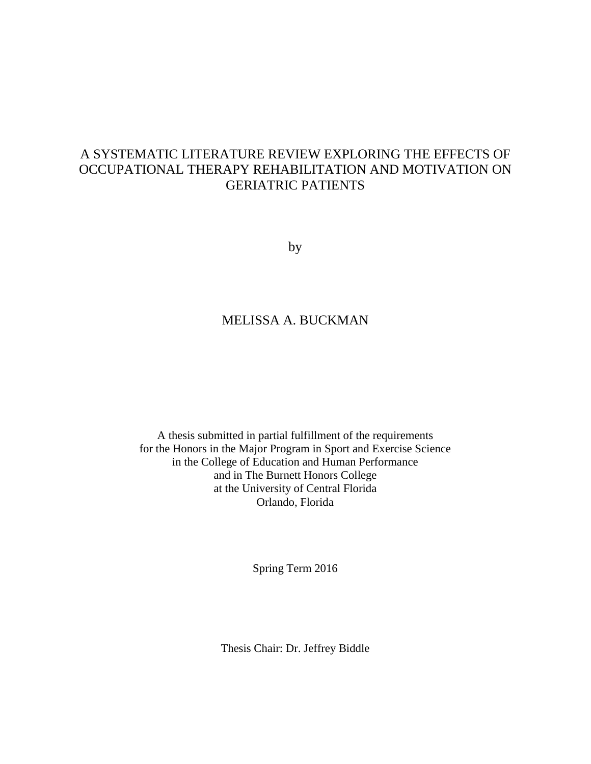## A SYSTEMATIC LITERATURE REVIEW EXPLORING THE EFFECTS OF OCCUPATIONAL THERAPY REHABILITATION AND MOTIVATION ON GERIATRIC PATIENTS

by

## MELISSA A. BUCKMAN

A thesis submitted in partial fulfillment of the requirements for the Honors in the Major Program in Sport and Exercise Science in the College of Education and Human Performance and in The Burnett Honors College at the University of Central Florida Orlando, Florida

Spring Term 2016

Thesis Chair: Dr. Jeffrey Biddle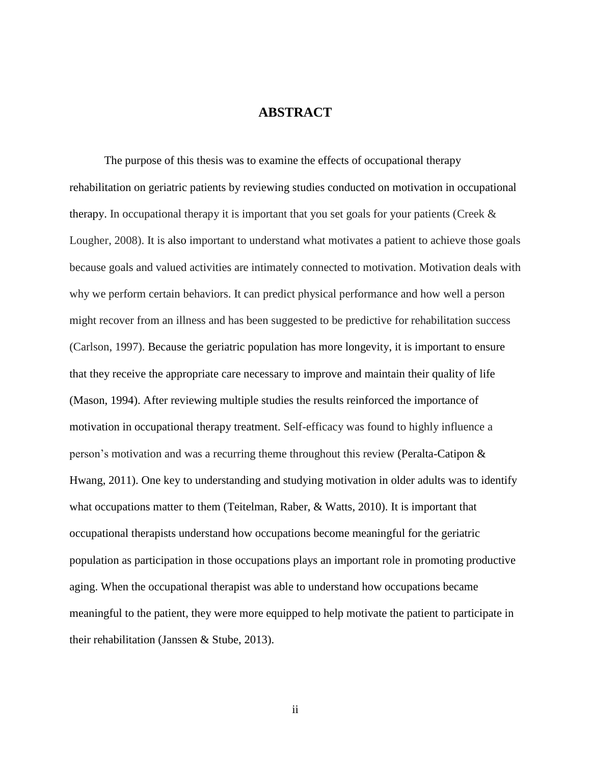#### **ABSTRACT**

The purpose of this thesis was to examine the effects of occupational therapy rehabilitation on geriatric patients by reviewing studies conducted on motivation in occupational therapy. In occupational therapy it is important that you set goals for your patients (Creek & Lougher, 2008). It is also important to understand what motivates a patient to achieve those goals because goals and valued activities are intimately connected to motivation. Motivation deals with why we perform certain behaviors. It can predict physical performance and how well a person might recover from an illness and has been suggested to be predictive for rehabilitation success (Carlson, 1997). Because the geriatric population has more longevity, it is important to ensure that they receive the appropriate care necessary to improve and maintain their quality of life (Mason, 1994). After reviewing multiple studies the results reinforced the importance of motivation in occupational therapy treatment. Self-efficacy was found to highly influence a person's motivation and was a recurring theme throughout this review (Peralta-Catipon & Hwang, 2011). One key to understanding and studying motivation in older adults was to identify what occupations matter to them (Teitelman, Raber, & Watts, 2010). It is important that occupational therapists understand how occupations become meaningful for the geriatric population as participation in those occupations plays an important role in promoting productive aging. When the occupational therapist was able to understand how occupations became meaningful to the patient, they were more equipped to help motivate the patient to participate in their rehabilitation (Janssen & Stube, 2013).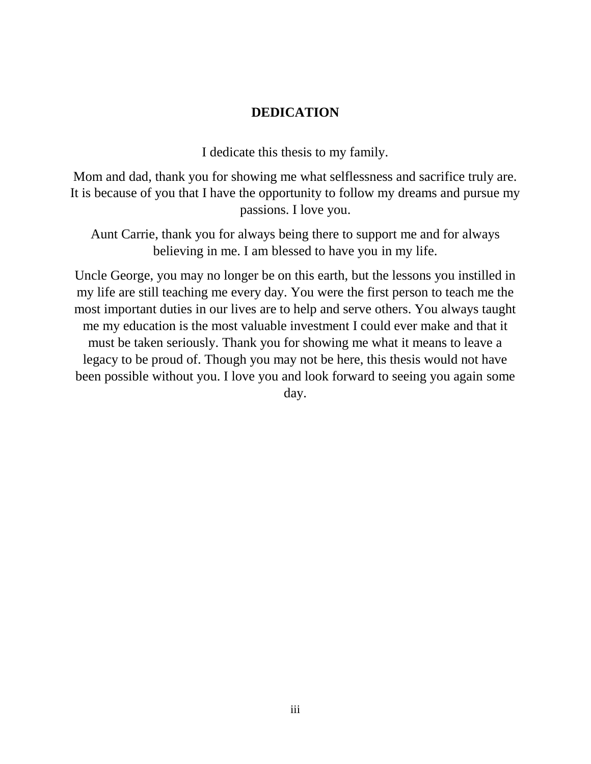## **DEDICATION**

I dedicate this thesis to my family.

Mom and dad, thank you for showing me what selflessness and sacrifice truly are. It is because of you that I have the opportunity to follow my dreams and pursue my passions. I love you.

Aunt Carrie, thank you for always being there to support me and for always believing in me. I am blessed to have you in my life.

Uncle George, you may no longer be on this earth, but the lessons you instilled in my life are still teaching me every day. You were the first person to teach me the most important duties in our lives are to help and serve others. You always taught me my education is the most valuable investment I could ever make and that it must be taken seriously. Thank you for showing me what it means to leave a legacy to be proud of. Though you may not be here, this thesis would not have been possible without you. I love you and look forward to seeing you again some day.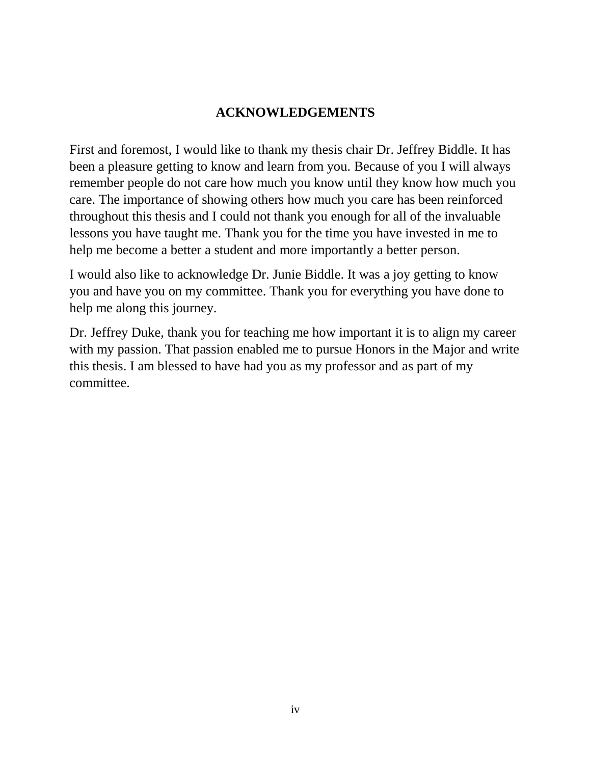## **ACKNOWLEDGEMENTS**

First and foremost, I would like to thank my thesis chair Dr. Jeffrey Biddle. It has been a pleasure getting to know and learn from you. Because of you I will always remember people do not care how much you know until they know how much you care. The importance of showing others how much you care has been reinforced throughout this thesis and I could not thank you enough for all of the invaluable lessons you have taught me. Thank you for the time you have invested in me to help me become a better a student and more importantly a better person.

I would also like to acknowledge Dr. Junie Biddle. It was a joy getting to know you and have you on my committee. Thank you for everything you have done to help me along this journey.

Dr. Jeffrey Duke, thank you for teaching me how important it is to align my career with my passion. That passion enabled me to pursue Honors in the Major and write this thesis. I am blessed to have had you as my professor and as part of my committee.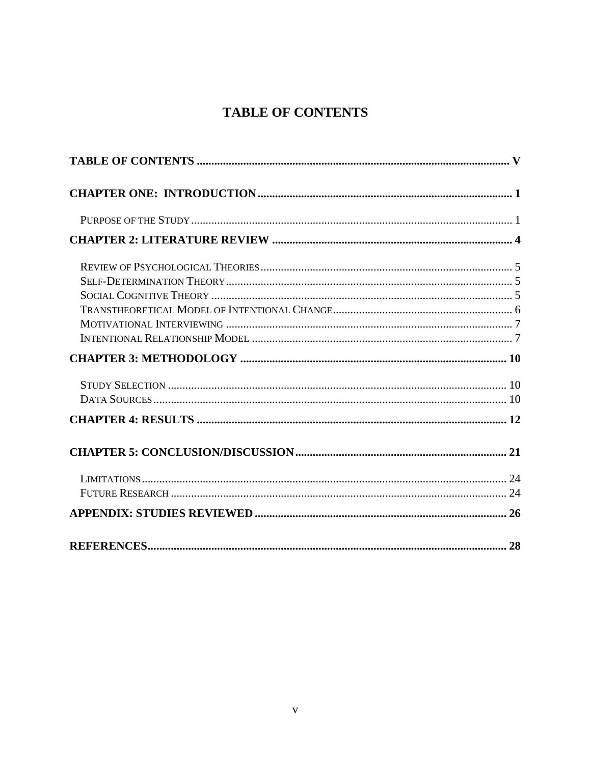## **TABLE OF CONTENTS**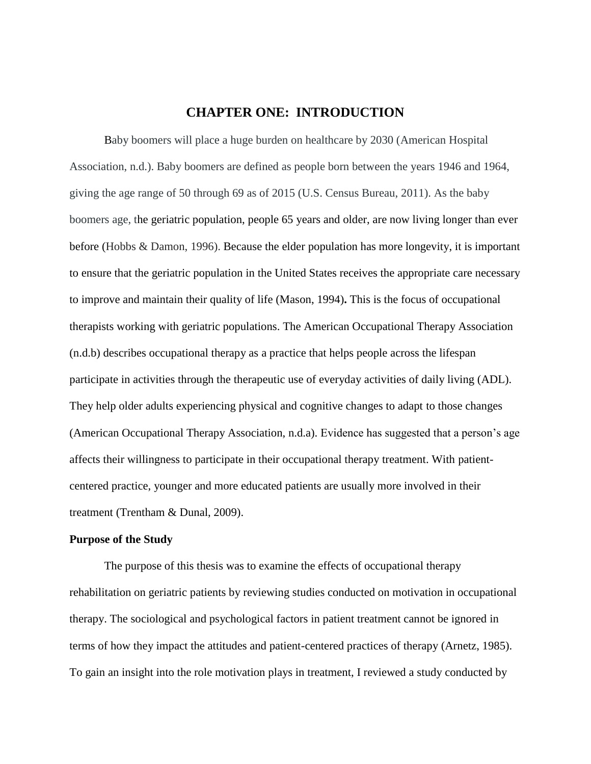#### **CHAPTER ONE: INTRODUCTION**

Baby boomers will place a huge burden on healthcare by 2030 (American Hospital Association, n.d.). Baby boomers are defined as people born between the years 1946 and 1964, giving the age range of 50 through 69 as of 2015 (U.S. Census Bureau, 2011). As the baby boomers age, the geriatric population, people 65 years and older, are now living longer than ever before (Hobbs & Damon, 1996). Because the elder population has more longevity, it is important to ensure that the geriatric population in the United States receives the appropriate care necessary to improve and maintain their quality of life (Mason, 1994)**.** This is the focus of occupational therapists working with geriatric populations. The American Occupational Therapy Association (n.d.b) describes occupational therapy as a practice that helps people across the lifespan participate in activities through the therapeutic use of everyday activities of daily living (ADL). They help older adults experiencing physical and cognitive changes to adapt to those changes (American Occupational Therapy Association, n.d.a). Evidence has suggested that a person's age affects their willingness to participate in their occupational therapy treatment. With patientcentered practice, younger and more educated patients are usually more involved in their treatment (Trentham & Dunal, 2009).

#### **Purpose of the Study**

The purpose of this thesis was to examine the effects of occupational therapy rehabilitation on geriatric patients by reviewing studies conducted on motivation in occupational therapy. The sociological and psychological factors in patient treatment cannot be ignored in terms of how they impact the attitudes and patient-centered practices of therapy (Arnetz, 1985). To gain an insight into the role motivation plays in treatment, I reviewed a study conducted by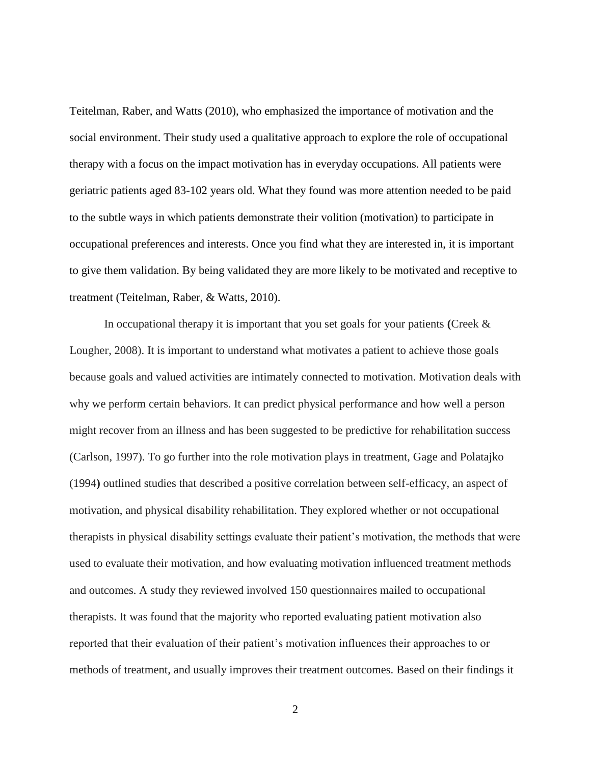Teitelman, Raber, and Watts (2010), who emphasized the importance of motivation and the social environment. Their study used a qualitative approach to explore the role of occupational therapy with a focus on the impact motivation has in everyday occupations. All patients were geriatric patients aged 83-102 years old. What they found was more attention needed to be paid to the subtle ways in which patients demonstrate their volition (motivation) to participate in occupational preferences and interests. Once you find what they are interested in, it is important to give them validation. By being validated they are more likely to be motivated and receptive to treatment (Teitelman, Raber, & Watts, 2010).

In occupational therapy it is important that you set goals for your patients **(**Creek & Lougher, 2008). It is important to understand what motivates a patient to achieve those goals because goals and valued activities are intimately connected to motivation. Motivation deals with why we perform certain behaviors. It can predict physical performance and how well a person might recover from an illness and has been suggested to be predictive for rehabilitation success (Carlson, 1997). To go further into the role motivation plays in treatment, Gage and Polatajko (1994**)** outlined studies that described a positive correlation between self-efficacy, an aspect of motivation, and physical disability rehabilitation. They explored whether or not occupational therapists in physical disability settings evaluate their patient's motivation, the methods that were used to evaluate their motivation, and how evaluating motivation influenced treatment methods and outcomes. A study they reviewed involved 150 questionnaires mailed to occupational therapists. It was found that the majority who reported evaluating patient motivation also reported that their evaluation of their patient's motivation influences their approaches to or methods of treatment, and usually improves their treatment outcomes. Based on their findings it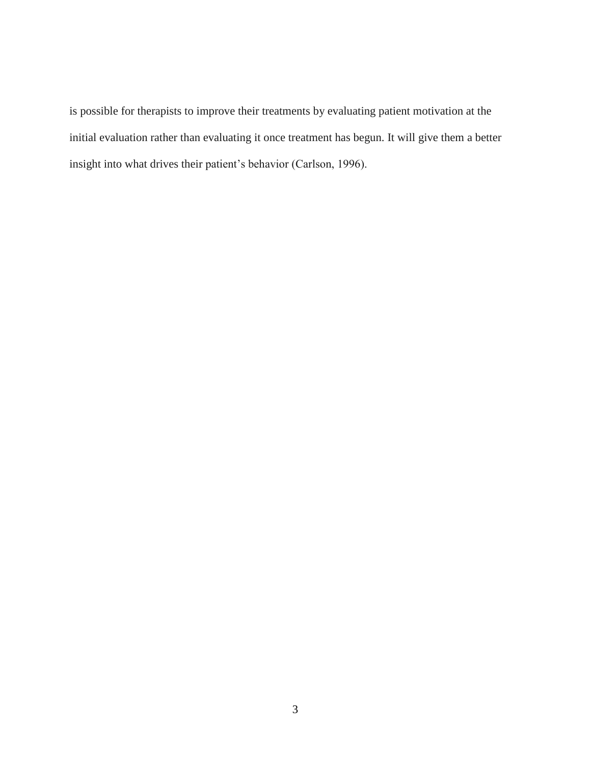is possible for therapists to improve their treatments by evaluating patient motivation at the initial evaluation rather than evaluating it once treatment has begun. It will give them a better insight into what drives their patient's behavior (Carlson, 1996).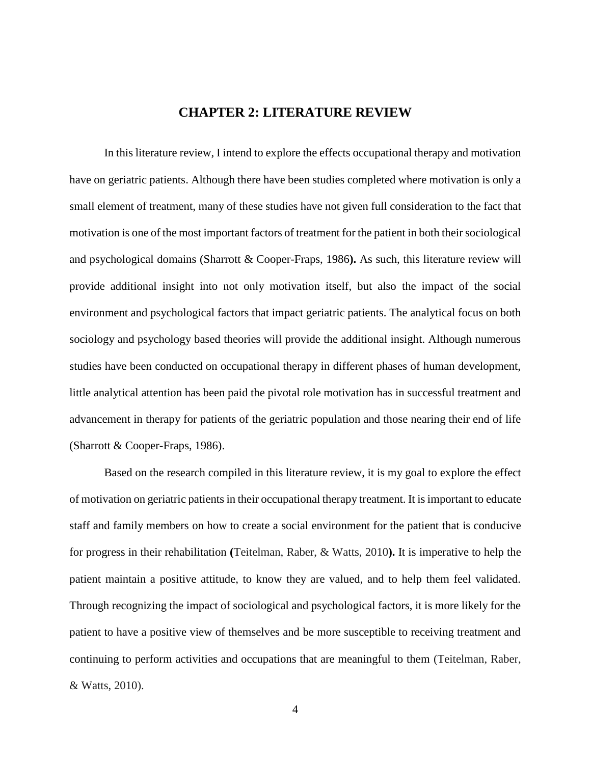## **CHAPTER 2: LITERATURE REVIEW**

In this literature review, I intend to explore the effects occupational therapy and motivation have on geriatric patients. Although there have been studies completed where motivation is only a small element of treatment, many of these studies have not given full consideration to the fact that motivation is one of the most important factors of treatment for the patient in both their sociological and psychological domains (Sharrott & Cooper-Fraps, 1986**).** As such, this literature review will provide additional insight into not only motivation itself, but also the impact of the social environment and psychological factors that impact geriatric patients. The analytical focus on both sociology and psychology based theories will provide the additional insight. Although numerous studies have been conducted on occupational therapy in different phases of human development, little analytical attention has been paid the pivotal role motivation has in successful treatment and advancement in therapy for patients of the geriatric population and those nearing their end of life (Sharrott & Cooper-Fraps, 1986).

Based on the research compiled in this literature review, it is my goal to explore the effect of motivation on geriatric patients in their occupational therapy treatment. It is important to educate staff and family members on how to create a social environment for the patient that is conducive for progress in their rehabilitation **(**Teitelman, Raber, & Watts, 2010**).** It is imperative to help the patient maintain a positive attitude, to know they are valued, and to help them feel validated. Through recognizing the impact of sociological and psychological factors, it is more likely for the patient to have a positive view of themselves and be more susceptible to receiving treatment and continuing to perform activities and occupations that are meaningful to them (Teitelman, Raber, & Watts, 2010).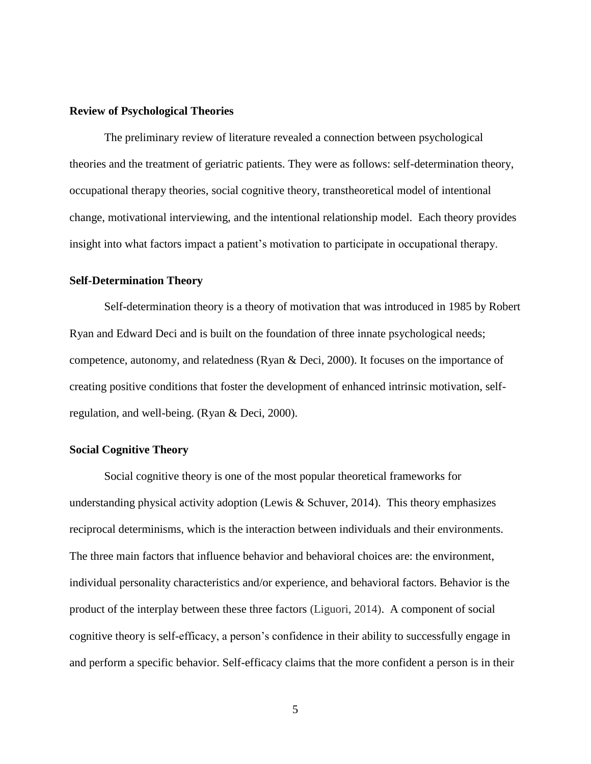#### **Review of Psychological Theories**

The preliminary review of literature revealed a connection between psychological theories and the treatment of geriatric patients. They were as follows: self-determination theory, occupational therapy theories, social cognitive theory, transtheoretical model of intentional change, motivational interviewing, and the intentional relationship model. Each theory provides insight into what factors impact a patient's motivation to participate in occupational therapy.

#### **Self-Determination Theory**

Self-determination theory is a theory of motivation that was introduced in 1985 by Robert Ryan and Edward Deci and is built on the foundation of three innate psychological needs; competence, autonomy, and relatedness (Ryan & Deci, 2000). It focuses on the importance of creating positive conditions that foster the development of enhanced intrinsic motivation, selfregulation, and well-being. (Ryan & Deci, 2000).

#### **Social Cognitive Theory**

Social cognitive theory is one of the most popular theoretical frameworks for understanding physical activity adoption (Lewis & Schuver, 2014). This theory emphasizes reciprocal determinisms, which is the interaction between individuals and their environments. The three main factors that influence behavior and behavioral choices are: the environment, individual personality characteristics and/or experience, and behavioral factors. Behavior is the product of the interplay between these three factors (Liguori, 2014). A component of social cognitive theory is self-efficacy, a person's confidence in their ability to successfully engage in and perform a specific behavior. Self-efficacy claims that the more confident a person is in their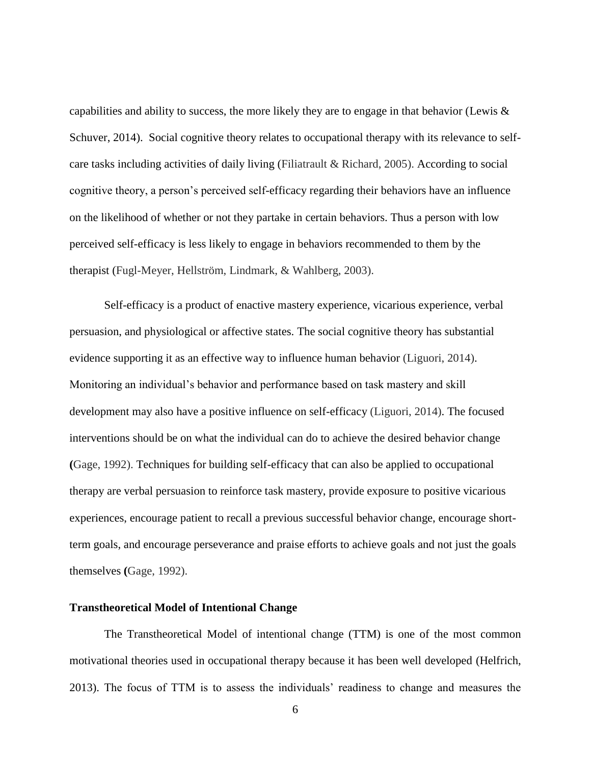capabilities and ability to success, the more likely they are to engage in that behavior (Lewis  $\&$ Schuver, 2014). Social cognitive theory relates to occupational therapy with its relevance to selfcare tasks including activities of daily living (Filiatrault & Richard, 2005). According to social cognitive theory, a person's perceived self-efficacy regarding their behaviors have an influence on the likelihood of whether or not they partake in certain behaviors. Thus a person with low perceived self-efficacy is less likely to engage in behaviors recommended to them by the therapist (Fugl-Meyer, Hellström, Lindmark, & Wahlberg, 2003).

Self-efficacy is a product of enactive mastery experience, vicarious experience, verbal persuasion, and physiological or affective states. The social cognitive theory has substantial evidence supporting it as an effective way to influence human behavior (Liguori, 2014). Monitoring an individual's behavior and performance based on task mastery and skill development may also have a positive influence on self-efficacy (Liguori, 2014). The focused interventions should be on what the individual can do to achieve the desired behavior change **(**Gage, 1992). Techniques for building self-efficacy that can also be applied to occupational therapy are verbal persuasion to reinforce task mastery, provide exposure to positive vicarious experiences, encourage patient to recall a previous successful behavior change, encourage shortterm goals, and encourage perseverance and praise efforts to achieve goals and not just the goals themselves **(**Gage, 1992).

#### **Transtheoretical Model of Intentional Change**

The Transtheoretical Model of intentional change (TTM) is one of the most common motivational theories used in occupational therapy because it has been well developed (Helfrich, 2013). The focus of TTM is to assess the individuals' readiness to change and measures the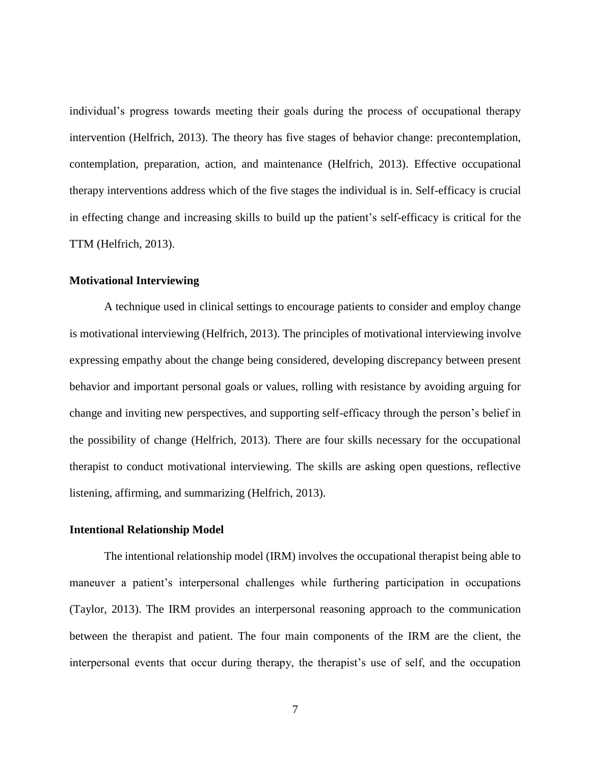individual's progress towards meeting their goals during the process of occupational therapy intervention (Helfrich, 2013). The theory has five stages of behavior change: precontemplation, contemplation, preparation, action, and maintenance (Helfrich, 2013). Effective occupational therapy interventions address which of the five stages the individual is in. Self-efficacy is crucial in effecting change and increasing skills to build up the patient's self-efficacy is critical for the TTM (Helfrich, 2013).

#### **Motivational Interviewing**

A technique used in clinical settings to encourage patients to consider and employ change is motivational interviewing (Helfrich, 2013). The principles of motivational interviewing involve expressing empathy about the change being considered, developing discrepancy between present behavior and important personal goals or values, rolling with resistance by avoiding arguing for change and inviting new perspectives, and supporting self-efficacy through the person's belief in the possibility of change (Helfrich, 2013). There are four skills necessary for the occupational therapist to conduct motivational interviewing. The skills are asking open questions, reflective listening, affirming, and summarizing (Helfrich, 2013).

#### **Intentional Relationship Model**

The intentional relationship model (IRM) involves the occupational therapist being able to maneuver a patient's interpersonal challenges while furthering participation in occupations (Taylor, 2013). The IRM provides an interpersonal reasoning approach to the communication between the therapist and patient. The four main components of the IRM are the client, the interpersonal events that occur during therapy, the therapist's use of self, and the occupation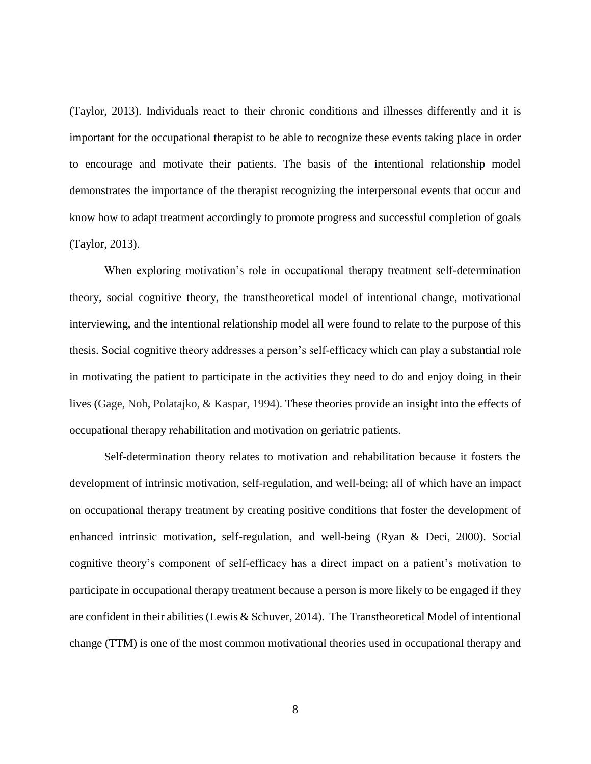(Taylor, 2013). Individuals react to their chronic conditions and illnesses differently and it is important for the occupational therapist to be able to recognize these events taking place in order to encourage and motivate their patients. The basis of the intentional relationship model demonstrates the importance of the therapist recognizing the interpersonal events that occur and know how to adapt treatment accordingly to promote progress and successful completion of goals (Taylor, 2013).

When exploring motivation's role in occupational therapy treatment self-determination theory, social cognitive theory, the transtheoretical model of intentional change, motivational interviewing, and the intentional relationship model all were found to relate to the purpose of this thesis. Social cognitive theory addresses a person's self-efficacy which can play a substantial role in motivating the patient to participate in the activities they need to do and enjoy doing in their lives (Gage, Noh, Polatajko, & Kaspar, 1994). These theories provide an insight into the effects of occupational therapy rehabilitation and motivation on geriatric patients.

Self-determination theory relates to motivation and rehabilitation because it fosters the development of intrinsic motivation, self-regulation, and well-being; all of which have an impact on occupational therapy treatment by creating positive conditions that foster the development of enhanced intrinsic motivation, self-regulation, and well-being (Ryan & Deci, 2000). Social cognitive theory's component of self-efficacy has a direct impact on a patient's motivation to participate in occupational therapy treatment because a person is more likely to be engaged if they are confident in their abilities (Lewis & Schuver, 2014). The Transtheoretical Model of intentional change (TTM) is one of the most common motivational theories used in occupational therapy and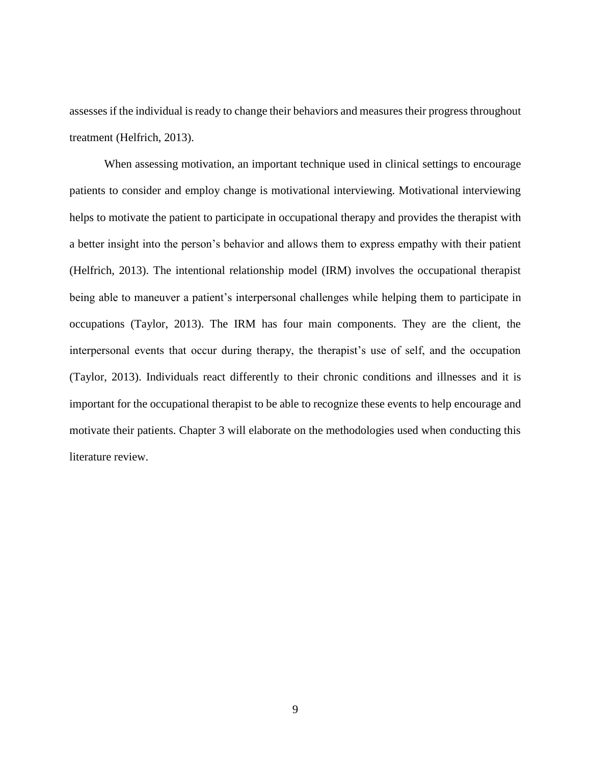assesses if the individual is ready to change their behaviors and measures their progress throughout treatment (Helfrich, 2013).

When assessing motivation, an important technique used in clinical settings to encourage patients to consider and employ change is motivational interviewing. Motivational interviewing helps to motivate the patient to participate in occupational therapy and provides the therapist with a better insight into the person's behavior and allows them to express empathy with their patient (Helfrich, 2013). The intentional relationship model (IRM) involves the occupational therapist being able to maneuver a patient's interpersonal challenges while helping them to participate in occupations (Taylor, 2013). The IRM has four main components. They are the client, the interpersonal events that occur during therapy, the therapist's use of self, and the occupation (Taylor, 2013). Individuals react differently to their chronic conditions and illnesses and it is important for the occupational therapist to be able to recognize these events to help encourage and motivate their patients. Chapter 3 will elaborate on the methodologies used when conducting this literature review.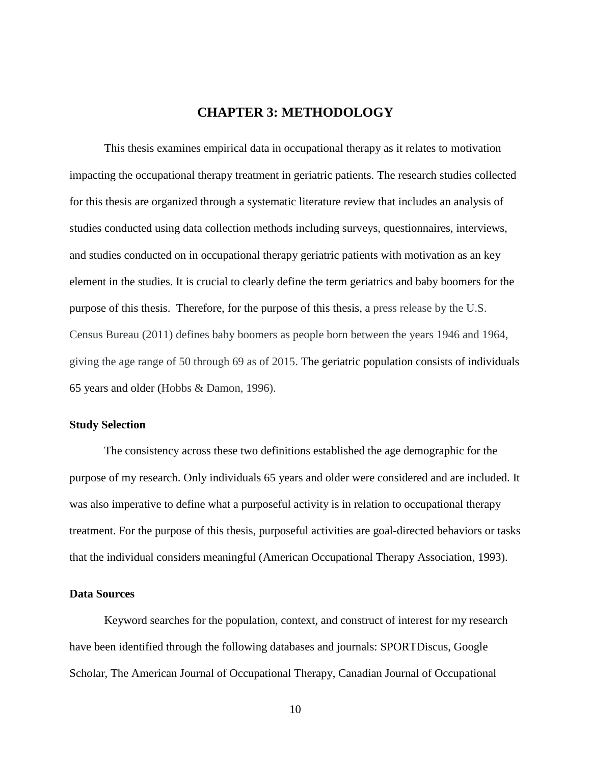## **CHAPTER 3: METHODOLOGY**

This thesis examines empirical data in occupational therapy as it relates to motivation impacting the occupational therapy treatment in geriatric patients. The research studies collected for this thesis are organized through a systematic literature review that includes an analysis of studies conducted using data collection methods including surveys, questionnaires, interviews, and studies conducted on in occupational therapy geriatric patients with motivation as an key element in the studies. It is crucial to clearly define the term geriatrics and baby boomers for the purpose of this thesis. Therefore, for the purpose of this thesis, a press release by the U.S. Census Bureau (2011) defines baby boomers as people born between the years 1946 and 1964, giving the age range of 50 through 69 as of 2015. The geriatric population consists of individuals 65 years and older (Hobbs & Damon, 1996).

#### **Study Selection**

The consistency across these two definitions established the age demographic for the purpose of my research. Only individuals 65 years and older were considered and are included. It was also imperative to define what a purposeful activity is in relation to occupational therapy treatment. For the purpose of this thesis, purposeful activities are goal-directed behaviors or tasks that the individual considers meaningful (American Occupational Therapy Association, 1993).

#### **Data Sources**

Keyword searches for the population, context, and construct of interest for my research have been identified through the following databases and journals: SPORTDiscus, Google Scholar, The American Journal of Occupational Therapy, Canadian Journal of Occupational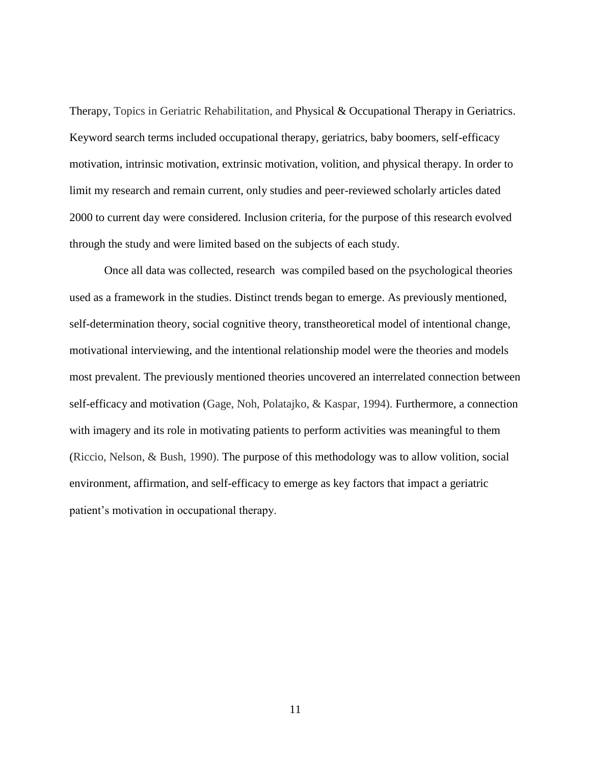Therapy, Topics in Geriatric Rehabilitation, and Physical & Occupational Therapy in Geriatrics. Keyword search terms included occupational therapy, geriatrics, baby boomers, self-efficacy motivation, intrinsic motivation, extrinsic motivation, volition, and physical therapy. In order to limit my research and remain current, only studies and peer-reviewed scholarly articles dated 2000 to current day were considered. Inclusion criteria, for the purpose of this research evolved through the study and were limited based on the subjects of each study.

Once all data was collected, research was compiled based on the psychological theories used as a framework in the studies. Distinct trends began to emerge. As previously mentioned, self-determination theory, social cognitive theory, transtheoretical model of intentional change, motivational interviewing, and the intentional relationship model were the theories and models most prevalent. The previously mentioned theories uncovered an interrelated connection between self-efficacy and motivation (Gage, Noh, Polatajko, & Kaspar, 1994). Furthermore, a connection with imagery and its role in motivating patients to perform activities was meaningful to them (Riccio, Nelson, & Bush, 1990). The purpose of this methodology was to allow volition, social environment, affirmation, and self-efficacy to emerge as key factors that impact a geriatric patient's motivation in occupational therapy.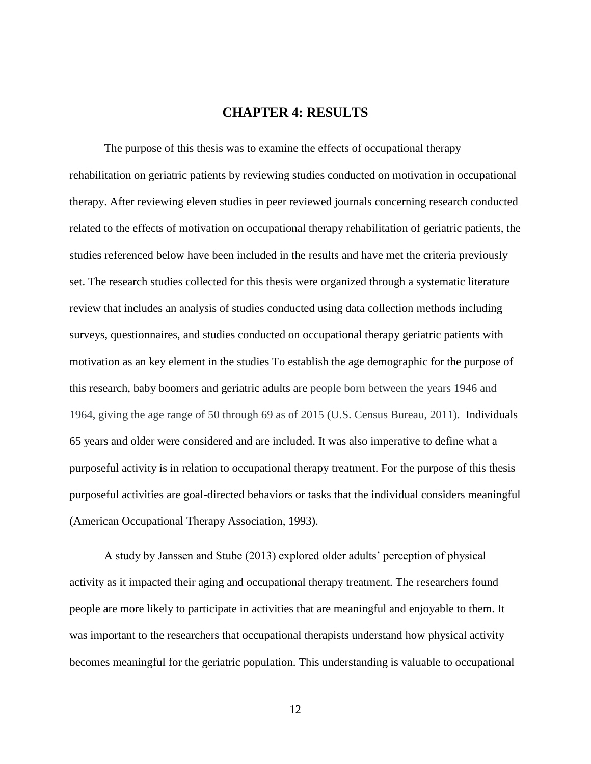### **CHAPTER 4: RESULTS**

The purpose of this thesis was to examine the effects of occupational therapy rehabilitation on geriatric patients by reviewing studies conducted on motivation in occupational therapy. After reviewing eleven studies in peer reviewed journals concerning research conducted related to the effects of motivation on occupational therapy rehabilitation of geriatric patients, the studies referenced below have been included in the results and have met the criteria previously set. The research studies collected for this thesis were organized through a systematic literature review that includes an analysis of studies conducted using data collection methods including surveys, questionnaires, and studies conducted on occupational therapy geriatric patients with motivation as an key element in the studies To establish the age demographic for the purpose of this research, baby boomers and geriatric adults are people born between the years 1946 and 1964, giving the age range of 50 through 69 as of 2015 (U.S. Census Bureau, 2011). Individuals 65 years and older were considered and are included. It was also imperative to define what a purposeful activity is in relation to occupational therapy treatment. For the purpose of this thesis purposeful activities are goal-directed behaviors or tasks that the individual considers meaningful (American Occupational Therapy Association, 1993).

A study by Janssen and Stube (2013) explored older adults' perception of physical activity as it impacted their aging and occupational therapy treatment. The researchers found people are more likely to participate in activities that are meaningful and enjoyable to them. It was important to the researchers that occupational therapists understand how physical activity becomes meaningful for the geriatric population. This understanding is valuable to occupational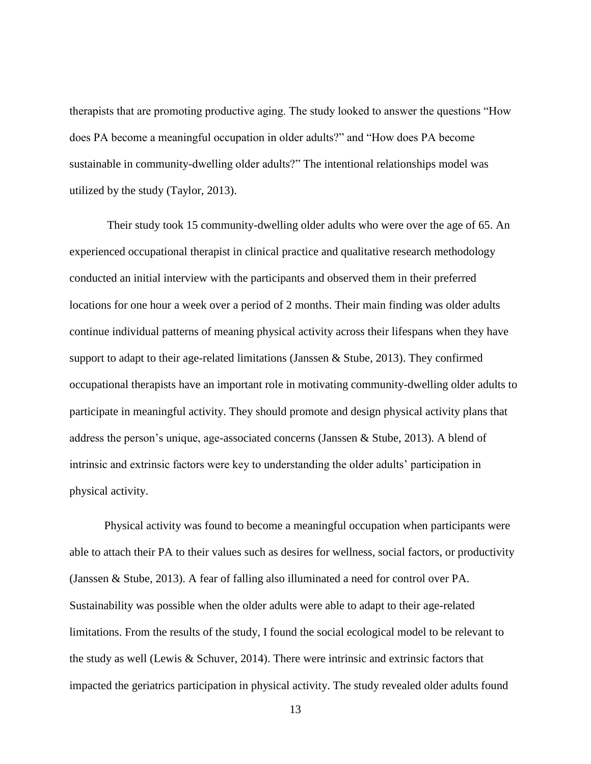therapists that are promoting productive aging. The study looked to answer the questions "How does PA become a meaningful occupation in older adults?" and "How does PA become sustainable in community-dwelling older adults?" The intentional relationships model was utilized by the study (Taylor, 2013).

Their study took 15 community-dwelling older adults who were over the age of 65. An experienced occupational therapist in clinical practice and qualitative research methodology conducted an initial interview with the participants and observed them in their preferred locations for one hour a week over a period of 2 months. Their main finding was older adults continue individual patterns of meaning physical activity across their lifespans when they have support to adapt to their age-related limitations (Janssen & Stube, 2013). They confirmed occupational therapists have an important role in motivating community-dwelling older adults to participate in meaningful activity. They should promote and design physical activity plans that address the person's unique, age-associated concerns (Janssen & Stube, 2013). A blend of intrinsic and extrinsic factors were key to understanding the older adults' participation in physical activity.

Physical activity was found to become a meaningful occupation when participants were able to attach their PA to their values such as desires for wellness, social factors, or productivity (Janssen & Stube, 2013). A fear of falling also illuminated a need for control over PA. Sustainability was possible when the older adults were able to adapt to their age-related limitations. From the results of the study, I found the social ecological model to be relevant to the study as well (Lewis & Schuver, 2014). There were intrinsic and extrinsic factors that impacted the geriatrics participation in physical activity. The study revealed older adults found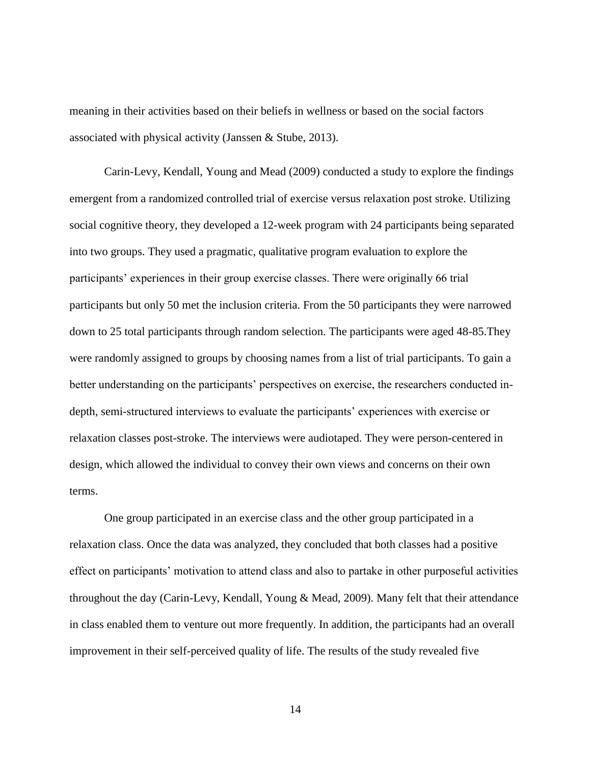meaning in their activities based on their beliefs in wellness or based on the social factors associated with physical activity (Janssen & Stube, 2013).

Carin-Levy, Kendall, Young and Mead (2009) conducted a study to explore the findings emergent from a randomized controlled trial of exercise versus relaxation post stroke. Utilizing social cognitive theory, they developed a 12-week program with 24 participants being separated into two groups. They used a pragmatic, qualitative program evaluation to explore the participants' experiences in their group exercise classes. There were originally 66 trial participants but only 50 met the inclusion criteria. From the 50 participants they were narrowed down to 25 total participants through random selection. The participants were aged 48-85.They were randomly assigned to groups by choosing names from a list of trial participants. To gain a better understanding on the participants' perspectives on exercise, the researchers conducted indepth, semi-structured interviews to evaluate the participants' experiences with exercise or relaxation classes post-stroke. The interviews were audiotaped. They were person-centered in design, which allowed the individual to convey their own views and concerns on their own terms.

One group participated in an exercise class and the other group participated in a relaxation class. Once the data was analyzed, they concluded that both classes had a positive effect on participants' motivation to attend class and also to partake in other purposeful activities throughout the day (Carin-Levy, Kendall, Young & Mead, 2009). Many felt that their attendance in class enabled them to venture out more frequently. In addition, the participants had an overall improvement in their self-perceived quality of life. The results of the study revealed five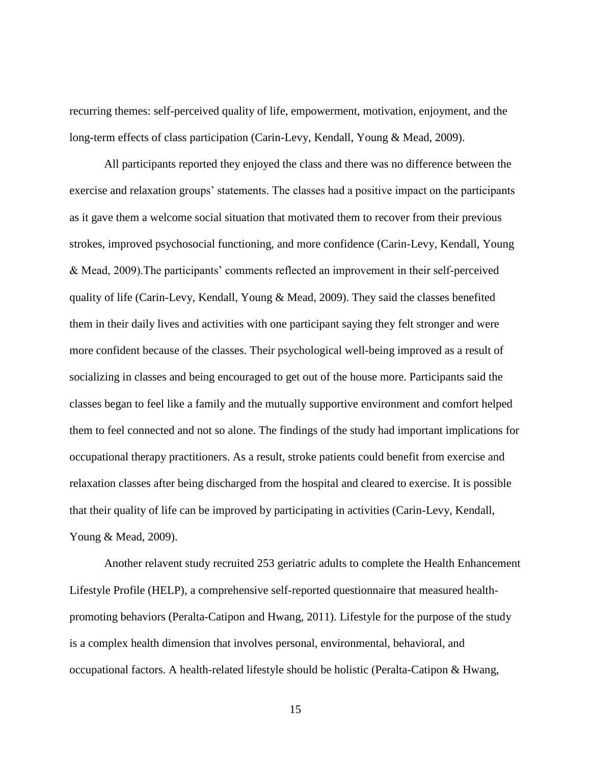recurring themes: self-perceived quality of life, empowerment, motivation, enjoyment, and the long-term effects of class participation (Carin-Levy, Kendall, Young & Mead, 2009).

All participants reported they enjoyed the class and there was no difference between the exercise and relaxation groups' statements. The classes had a positive impact on the participants as it gave them a welcome social situation that motivated them to recover from their previous strokes, improved psychosocial functioning, and more confidence (Carin-Levy, Kendall, Young & Mead, 2009).The participants' comments reflected an improvement in their self-perceived quality of life (Carin-Levy, Kendall, Young & Mead, 2009). They said the classes benefited them in their daily lives and activities with one participant saying they felt stronger and were more confident because of the classes. Their psychological well-being improved as a result of socializing in classes and being encouraged to get out of the house more. Participants said the classes began to feel like a family and the mutually supportive environment and comfort helped them to feel connected and not so alone. The findings of the study had important implications for occupational therapy practitioners. As a result, stroke patients could benefit from exercise and relaxation classes after being discharged from the hospital and cleared to exercise. It is possible that their quality of life can be improved by participating in activities (Carin-Levy, Kendall, Young & Mead, 2009).

Another relavent study recruited 253 geriatric adults to complete the Health Enhancement Lifestyle Profile (HELP), a comprehensive self-reported questionnaire that measured healthpromoting behaviors (Peralta-Catipon and Hwang, 2011). Lifestyle for the purpose of the study is a complex health dimension that involves personal, environmental, behavioral, and occupational factors. A health-related lifestyle should be holistic (Peralta-Catipon & Hwang,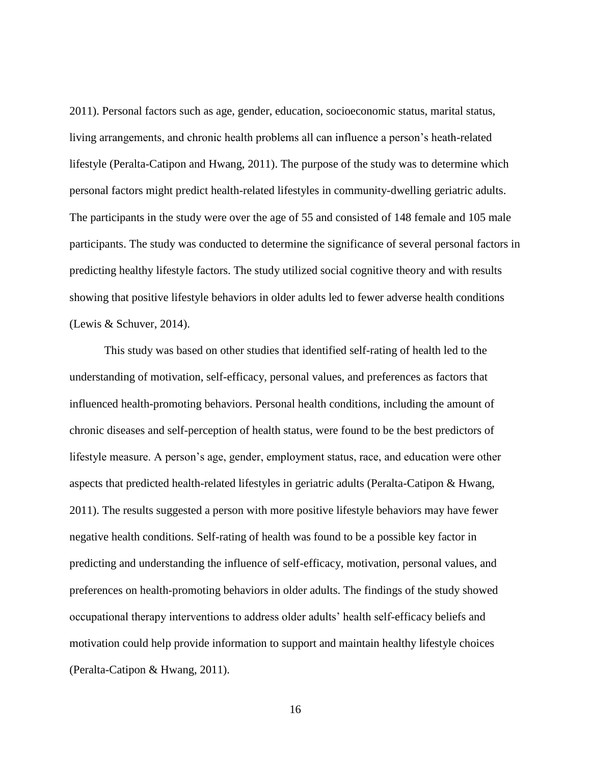2011). Personal factors such as age, gender, education, socioeconomic status, marital status, living arrangements, and chronic health problems all can influence a person's heath-related lifestyle (Peralta-Catipon and Hwang, 2011). The purpose of the study was to determine which personal factors might predict health-related lifestyles in community-dwelling geriatric adults. The participants in the study were over the age of 55 and consisted of 148 female and 105 male participants. The study was conducted to determine the significance of several personal factors in predicting healthy lifestyle factors. The study utilized social cognitive theory and with results showing that positive lifestyle behaviors in older adults led to fewer adverse health conditions (Lewis & Schuver, 2014).

This study was based on other studies that identified self-rating of health led to the understanding of motivation, self-efficacy, personal values, and preferences as factors that influenced health-promoting behaviors. Personal health conditions, including the amount of chronic diseases and self-perception of health status, were found to be the best predictors of lifestyle measure. A person's age, gender, employment status, race, and education were other aspects that predicted health-related lifestyles in geriatric adults (Peralta-Catipon & Hwang, 2011). The results suggested a person with more positive lifestyle behaviors may have fewer negative health conditions. Self-rating of health was found to be a possible key factor in predicting and understanding the influence of self-efficacy, motivation, personal values, and preferences on health-promoting behaviors in older adults. The findings of the study showed occupational therapy interventions to address older adults' health self-efficacy beliefs and motivation could help provide information to support and maintain healthy lifestyle choices (Peralta-Catipon & Hwang, 2011).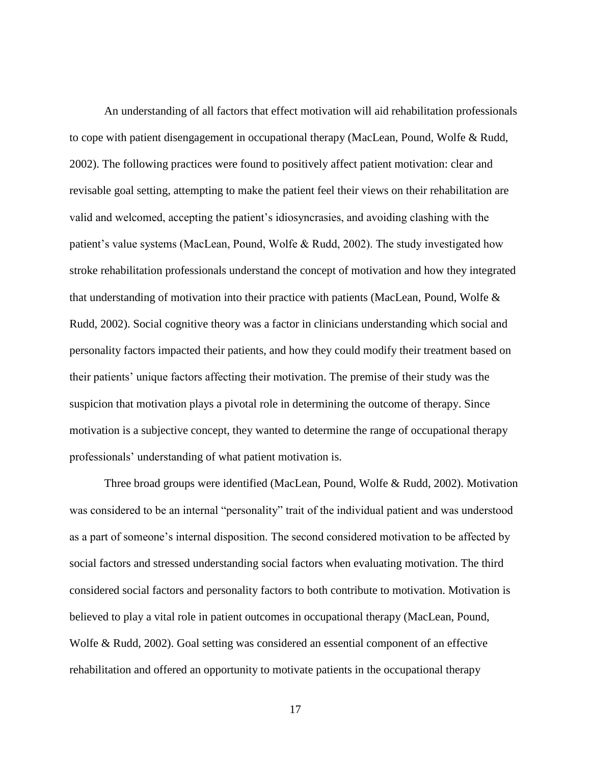An understanding of all factors that effect motivation will aid rehabilitation professionals to cope with patient disengagement in occupational therapy (MacLean, Pound, Wolfe & Rudd, 2002). The following practices were found to positively affect patient motivation: clear and revisable goal setting, attempting to make the patient feel their views on their rehabilitation are valid and welcomed, accepting the patient's idiosyncrasies, and avoiding clashing with the patient's value systems (MacLean, Pound, Wolfe & Rudd, 2002). The study investigated how stroke rehabilitation professionals understand the concept of motivation and how they integrated that understanding of motivation into their practice with patients (MacLean, Pound, Wolfe & Rudd, 2002). Social cognitive theory was a factor in clinicians understanding which social and personality factors impacted their patients, and how they could modify their treatment based on their patients' unique factors affecting their motivation. The premise of their study was the suspicion that motivation plays a pivotal role in determining the outcome of therapy. Since motivation is a subjective concept, they wanted to determine the range of occupational therapy professionals' understanding of what patient motivation is.

Three broad groups were identified (MacLean, Pound, Wolfe & Rudd, 2002). Motivation was considered to be an internal "personality" trait of the individual patient and was understood as a part of someone's internal disposition. The second considered motivation to be affected by social factors and stressed understanding social factors when evaluating motivation. The third considered social factors and personality factors to both contribute to motivation. Motivation is believed to play a vital role in patient outcomes in occupational therapy (MacLean, Pound, Wolfe & Rudd, 2002). Goal setting was considered an essential component of an effective rehabilitation and offered an opportunity to motivate patients in the occupational therapy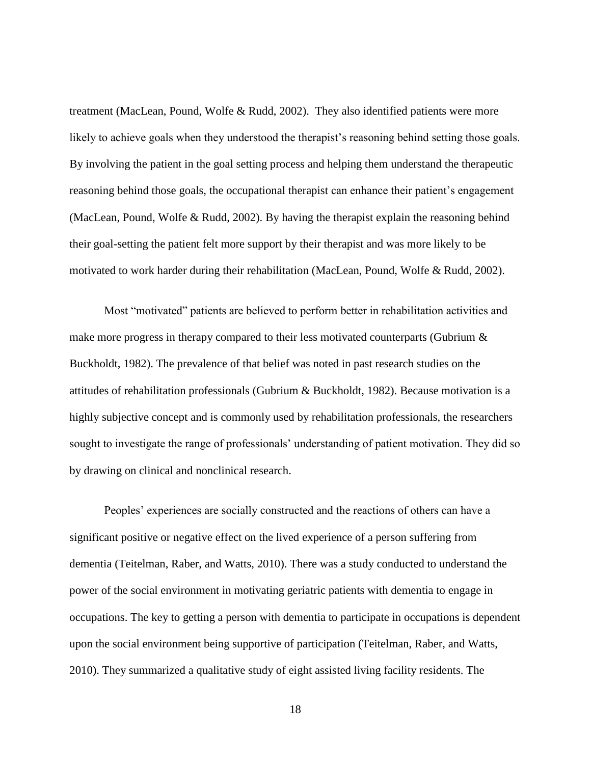treatment (MacLean, Pound, Wolfe & Rudd, 2002). They also identified patients were more likely to achieve goals when they understood the therapist's reasoning behind setting those goals. By involving the patient in the goal setting process and helping them understand the therapeutic reasoning behind those goals, the occupational therapist can enhance their patient's engagement (MacLean, Pound, Wolfe & Rudd, 2002). By having the therapist explain the reasoning behind their goal-setting the patient felt more support by their therapist and was more likely to be motivated to work harder during their rehabilitation (MacLean, Pound, Wolfe & Rudd, 2002).

Most "motivated" patients are believed to perform better in rehabilitation activities and make more progress in therapy compared to their less motivated counterparts (Gubrium  $\&$ Buckholdt, 1982). The prevalence of that belief was noted in past research studies on the attitudes of rehabilitation professionals (Gubrium & Buckholdt, 1982). Because motivation is a highly subjective concept and is commonly used by rehabilitation professionals, the researchers sought to investigate the range of professionals' understanding of patient motivation. They did so by drawing on clinical and nonclinical research.

Peoples' experiences are socially constructed and the reactions of others can have a significant positive or negative effect on the lived experience of a person suffering from dementia (Teitelman, Raber, and Watts, 2010). There was a study conducted to understand the power of the social environment in motivating geriatric patients with dementia to engage in occupations. The key to getting a person with dementia to participate in occupations is dependent upon the social environment being supportive of participation (Teitelman, Raber, and Watts, 2010). They summarized a qualitative study of eight assisted living facility residents. The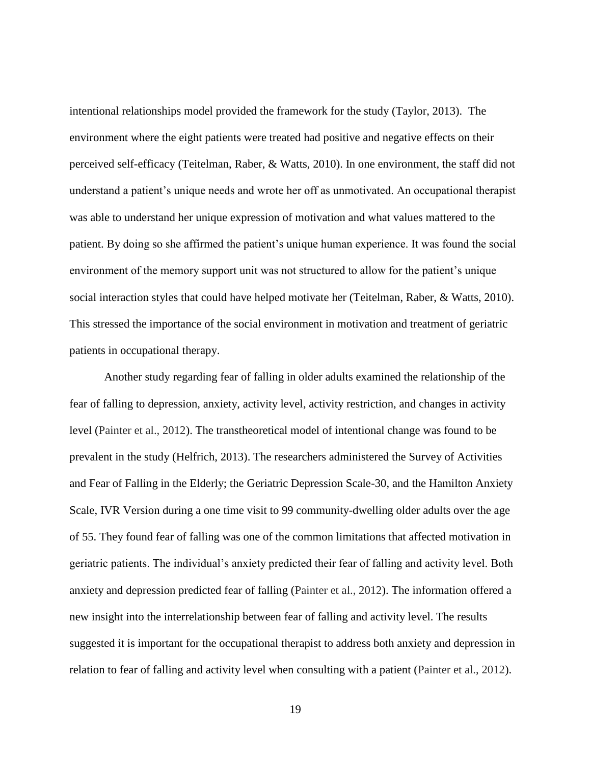intentional relationships model provided the framework for the study (Taylor, 2013). The environment where the eight patients were treated had positive and negative effects on their perceived self-efficacy (Teitelman, Raber, & Watts, 2010). In one environment, the staff did not understand a patient's unique needs and wrote her off as unmotivated. An occupational therapist was able to understand her unique expression of motivation and what values mattered to the patient. By doing so she affirmed the patient's unique human experience. It was found the social environment of the memory support unit was not structured to allow for the patient's unique social interaction styles that could have helped motivate her (Teitelman, Raber, & Watts, 2010). This stressed the importance of the social environment in motivation and treatment of geriatric patients in occupational therapy.

Another study regarding fear of falling in older adults examined the relationship of the fear of falling to depression, anxiety, activity level, activity restriction, and changes in activity level (Painter et al., 2012). The transtheoretical model of intentional change was found to be prevalent in the study (Helfrich, 2013). The researchers administered the Survey of Activities and Fear of Falling in the Elderly; the Geriatric Depression Scale-30, and the Hamilton Anxiety Scale, IVR Version during a one time visit to 99 community-dwelling older adults over the age of 55. They found fear of falling was one of the common limitations that affected motivation in geriatric patients. The individual's anxiety predicted their fear of falling and activity level. Both anxiety and depression predicted fear of falling (Painter et al., 2012). The information offered a new insight into the interrelationship between fear of falling and activity level. The results suggested it is important for the occupational therapist to address both anxiety and depression in relation to fear of falling and activity level when consulting with a patient (Painter et al., 2012).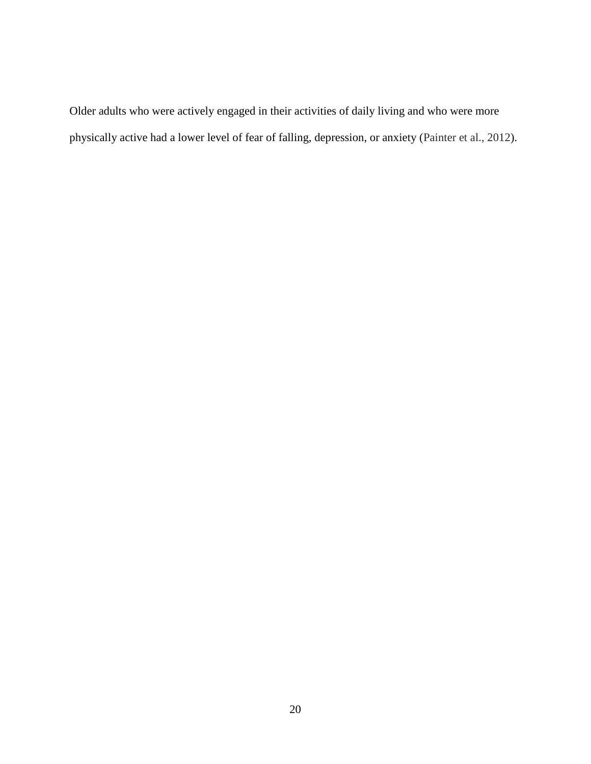Older adults who were actively engaged in their activities of daily living and who were more physically active had a lower level of fear of falling, depression, or anxiety (Painter et al., 2012).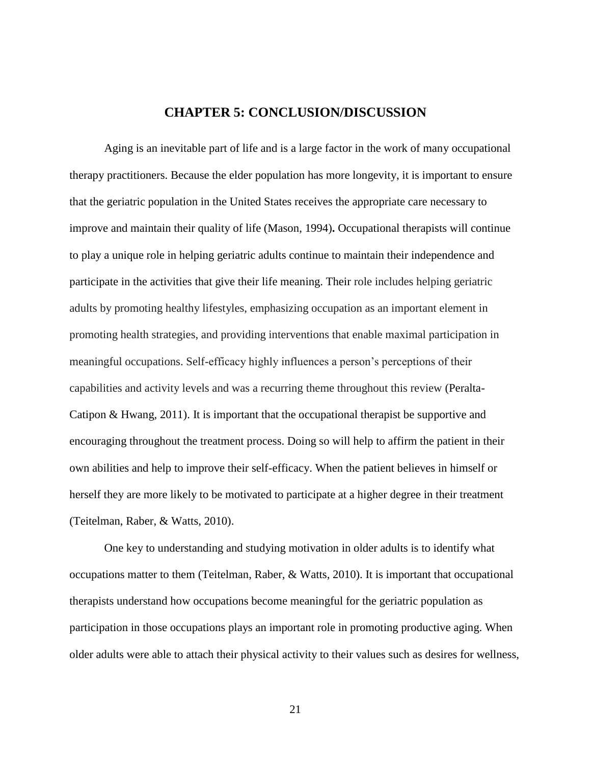#### **CHAPTER 5: CONCLUSION/DISCUSSION**

Aging is an inevitable part of life and is a large factor in the work of many occupational therapy practitioners. Because the elder population has more longevity, it is important to ensure that the geriatric population in the United States receives the appropriate care necessary to improve and maintain their quality of life (Mason, 1994)**.** Occupational therapists will continue to play a unique role in helping geriatric adults continue to maintain their independence and participate in the activities that give their life meaning. Their role includes helping geriatric adults by promoting healthy lifestyles, emphasizing occupation as an important element in promoting health strategies, and providing interventions that enable maximal participation in meaningful occupations. Self-efficacy highly influences a person's perceptions of their capabilities and activity levels and was a recurring theme throughout this review (Peralta-Catipon & Hwang, 2011). It is important that the occupational therapist be supportive and encouraging throughout the treatment process. Doing so will help to affirm the patient in their own abilities and help to improve their self-efficacy. When the patient believes in himself or herself they are more likely to be motivated to participate at a higher degree in their treatment (Teitelman, Raber, & Watts, 2010).

One key to understanding and studying motivation in older adults is to identify what occupations matter to them (Teitelman, Raber, & Watts, 2010). It is important that occupational therapists understand how occupations become meaningful for the geriatric population as participation in those occupations plays an important role in promoting productive aging. When older adults were able to attach their physical activity to their values such as desires for wellness,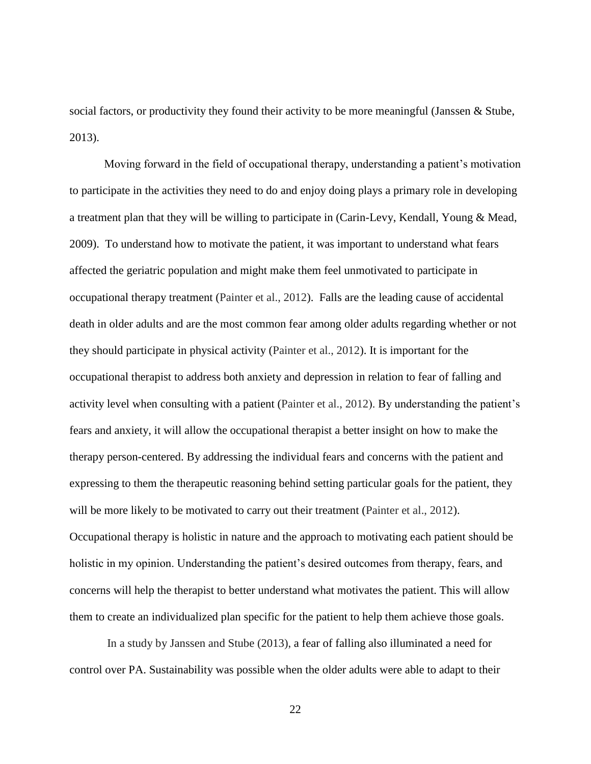social factors, or productivity they found their activity to be more meaningful (Janssen & Stube, 2013).

Moving forward in the field of occupational therapy, understanding a patient's motivation to participate in the activities they need to do and enjoy doing plays a primary role in developing a treatment plan that they will be willing to participate in (Carin-Levy, Kendall, Young & Mead, 2009). To understand how to motivate the patient, it was important to understand what fears affected the geriatric population and might make them feel unmotivated to participate in occupational therapy treatment (Painter et al., 2012). Falls are the leading cause of accidental death in older adults and are the most common fear among older adults regarding whether or not they should participate in physical activity (Painter et al., 2012). It is important for the occupational therapist to address both anxiety and depression in relation to fear of falling and activity level when consulting with a patient (Painter et al., 2012). By understanding the patient's fears and anxiety, it will allow the occupational therapist a better insight on how to make the therapy person-centered. By addressing the individual fears and concerns with the patient and expressing to them the therapeutic reasoning behind setting particular goals for the patient, they will be more likely to be motivated to carry out their treatment (Painter et al., 2012). Occupational therapy is holistic in nature and the approach to motivating each patient should be holistic in my opinion. Understanding the patient's desired outcomes from therapy, fears, and concerns will help the therapist to better understand what motivates the patient. This will allow them to create an individualized plan specific for the patient to help them achieve those goals.

In a study by Janssen and Stube (2013), a fear of falling also illuminated a need for control over PA. Sustainability was possible when the older adults were able to adapt to their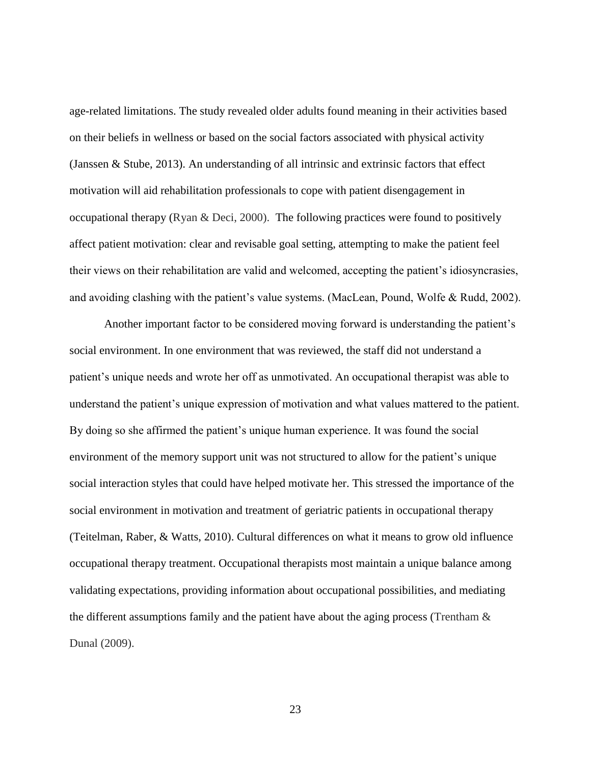age-related limitations. The study revealed older adults found meaning in their activities based on their beliefs in wellness or based on the social factors associated with physical activity (Janssen & Stube, 2013). An understanding of all intrinsic and extrinsic factors that effect motivation will aid rehabilitation professionals to cope with patient disengagement in occupational therapy (Ryan & Deci, 2000). The following practices were found to positively affect patient motivation: clear and revisable goal setting, attempting to make the patient feel their views on their rehabilitation are valid and welcomed, accepting the patient's idiosyncrasies, and avoiding clashing with the patient's value systems. (MacLean, Pound, Wolfe & Rudd, 2002).

Another important factor to be considered moving forward is understanding the patient's social environment. In one environment that was reviewed, the staff did not understand a patient's unique needs and wrote her off as unmotivated. An occupational therapist was able to understand the patient's unique expression of motivation and what values mattered to the patient. By doing so she affirmed the patient's unique human experience. It was found the social environment of the memory support unit was not structured to allow for the patient's unique social interaction styles that could have helped motivate her. This stressed the importance of the social environment in motivation and treatment of geriatric patients in occupational therapy (Teitelman, Raber, & Watts, 2010). Cultural differences on what it means to grow old influence occupational therapy treatment. Occupational therapists most maintain a unique balance among validating expectations, providing information about occupational possibilities, and mediating the different assumptions family and the patient have about the aging process (Trentham  $\&$ Dunal (2009).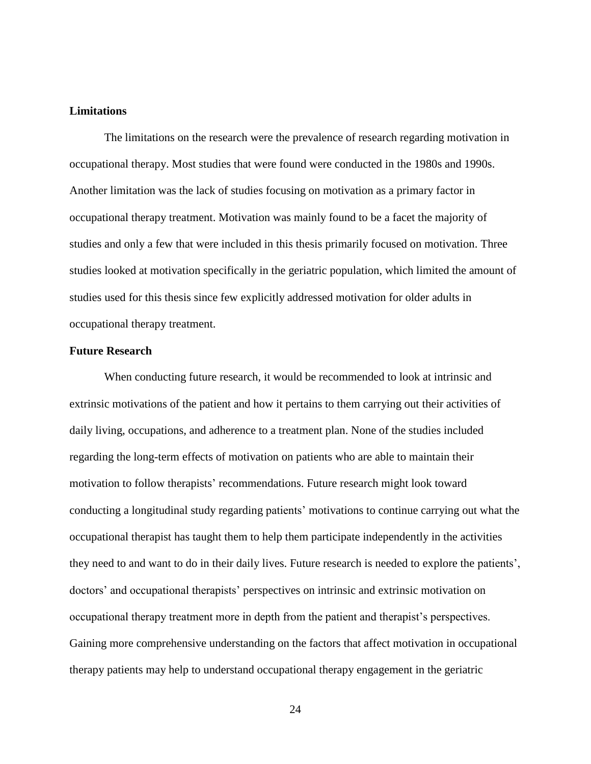#### **Limitations**

The limitations on the research were the prevalence of research regarding motivation in occupational therapy. Most studies that were found were conducted in the 1980s and 1990s. Another limitation was the lack of studies focusing on motivation as a primary factor in occupational therapy treatment. Motivation was mainly found to be a facet the majority of studies and only a few that were included in this thesis primarily focused on motivation. Three studies looked at motivation specifically in the geriatric population, which limited the amount of studies used for this thesis since few explicitly addressed motivation for older adults in occupational therapy treatment.

#### **Future Research**

When conducting future research, it would be recommended to look at intrinsic and extrinsic motivations of the patient and how it pertains to them carrying out their activities of daily living, occupations, and adherence to a treatment plan. None of the studies included regarding the long-term effects of motivation on patients who are able to maintain their motivation to follow therapists' recommendations. Future research might look toward conducting a longitudinal study regarding patients' motivations to continue carrying out what the occupational therapist has taught them to help them participate independently in the activities they need to and want to do in their daily lives. Future research is needed to explore the patients', doctors' and occupational therapists' perspectives on intrinsic and extrinsic motivation on occupational therapy treatment more in depth from the patient and therapist's perspectives. Gaining more comprehensive understanding on the factors that affect motivation in occupational therapy patients may help to understand occupational therapy engagement in the geriatric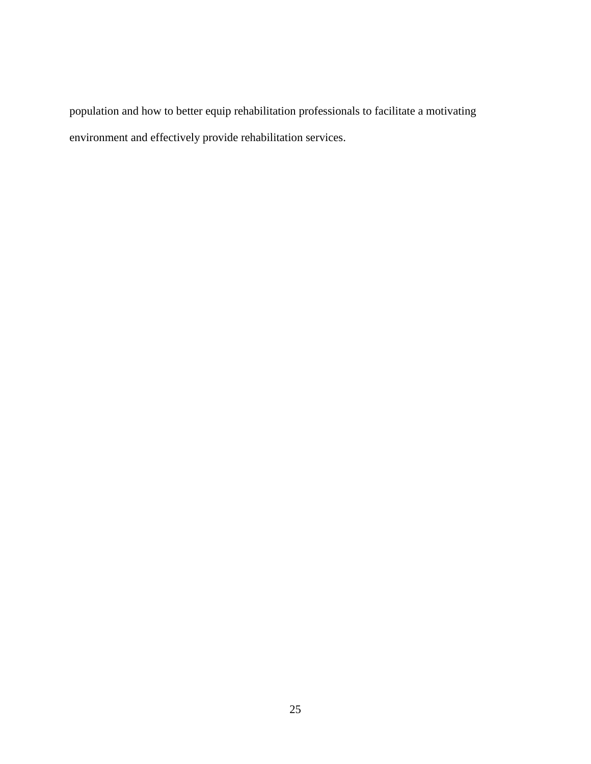population and how to better equip rehabilitation professionals to facilitate a motivating environment and effectively provide rehabilitation services.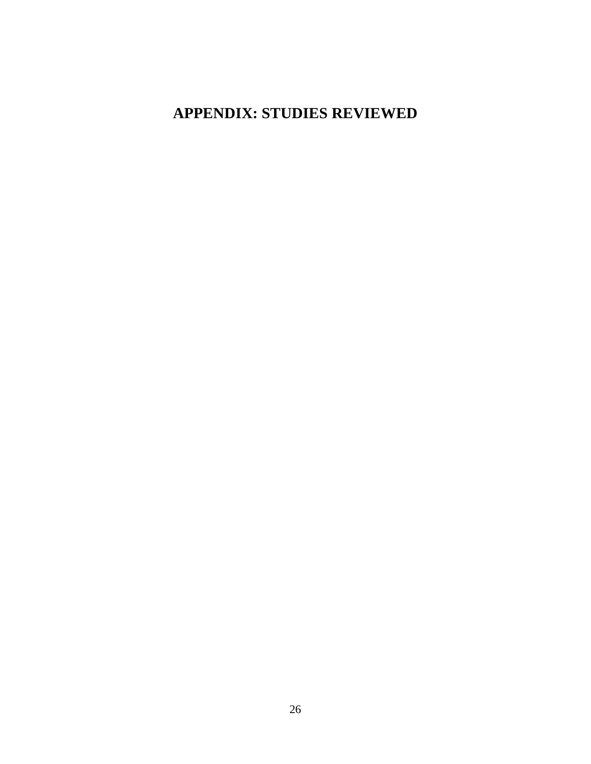## **APPENDIX: STUDIES REVIEWED**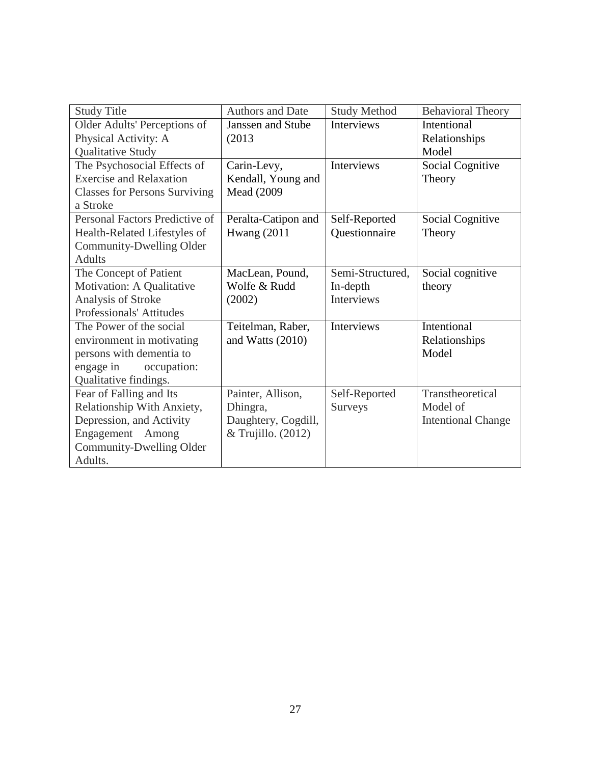| <b>Study Title</b>                   | <b>Authors and Date</b>  | <b>Study Method</b> | <b>Behavioral Theory</b>  |
|--------------------------------------|--------------------------|---------------------|---------------------------|
| Older Adults' Perceptions of         | <b>Janssen and Stube</b> | <b>Interviews</b>   | Intentional               |
| Physical Activity: A                 | (2013)                   |                     | Relationships             |
| Qualitative Study                    |                          |                     | Model                     |
| The Psychosocial Effects of          | Carin-Levy,              | Interviews          | Social Cognitive          |
| <b>Exercise and Relaxation</b>       | Kendall, Young and       |                     | Theory                    |
| <b>Classes for Persons Surviving</b> | <b>Mead</b> (2009        |                     |                           |
| a Stroke                             |                          |                     |                           |
| Personal Factors Predictive of       | Peralta-Catipon and      | Self-Reported       | Social Cognitive          |
| Health-Related Lifestyles of         | <b>Hwang</b> (2011)      | Questionnaire       | Theory                    |
| Community-Dwelling Older             |                          |                     |                           |
| <b>Adults</b>                        |                          |                     |                           |
| The Concept of Patient               | MacLean, Pound,          | Semi-Structured,    | Social cognitive          |
| Motivation: A Qualitative            | Wolfe & Rudd             | In-depth            | theory                    |
| Analysis of Stroke                   | (2002)                   | <b>Interviews</b>   |                           |
| Professionals' Attitudes             |                          |                     |                           |
| The Power of the social              | Teitelman, Raber,        | Interviews          | Intentional               |
| environment in motivating            | and Watts (2010)         |                     | Relationships             |
| persons with dementia to             |                          |                     | Model                     |
| engage in<br>occupation:             |                          |                     |                           |
| Qualitative findings.                |                          |                     |                           |
| Fear of Falling and Its              | Painter, Allison,        | Self-Reported       | Transtheoretical          |
| Relationship With Anxiety,           | Dhingra,                 | Surveys             | Model of                  |
| Depression, and Activity             | Daughtery, Cogdill,      |                     | <b>Intentional Change</b> |
| Engagement<br>Among                  | & Trujillo. (2012)       |                     |                           |
| Community-Dwelling Older             |                          |                     |                           |
| Adults.                              |                          |                     |                           |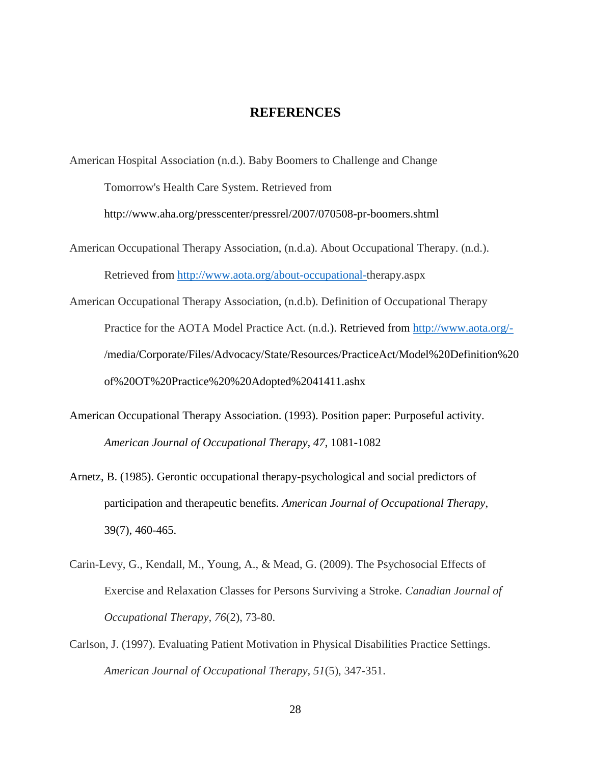#### **REFERENCES**

American Hospital Association (n.d.). Baby Boomers to Challenge and Change Tomorrow's Health Care System. Retrieved from

<http://www.aha.org/presscenter/pressrel/2007/070508-pr-boomers.shtml>

- American Occupational Therapy Association, (n.d.a). About Occupational Therapy. (n.d.). Retrieved from [http://www.aota.org/about-occupational-t](http://www.aota.org/about-occupational-)herapy.aspx
- American Occupational Therapy Association, (n.d.b). Definition of Occupational Therapy Practice for the AOTA Model Practice Act. (n.d.). Retrieved from<http://www.aota.org/-> /media/Corporate/Files/Advocacy/State/Resources/PracticeAct/Model%20Definition%20 of%20OT%20Practice%20%20Adopted%2041411.ashx
- American Occupational Therapy Association. (1993). Position paper: Purposeful activity. *American Journal of Occupational Therapy, 47*, 1081-1082
- Arnetz, B. (1985). Gerontic occupational therapy-psychological and social predictors of participation and therapeutic benefits. *American Journal of Occupational Therapy*, 39(7), 460-465.
- Carin-Levy, G., Kendall, M., Young, A., & Mead, G. (2009). The Psychosocial Effects of Exercise and Relaxation Classes for Persons Surviving a Stroke. *Canadian Journal of Occupational Therapy, 76*(2), 73-80.
- Carlson, J. (1997). Evaluating Patient Motivation in Physical Disabilities Practice Settings. *American Journal of Occupational Therapy, 51*(5), 347-351.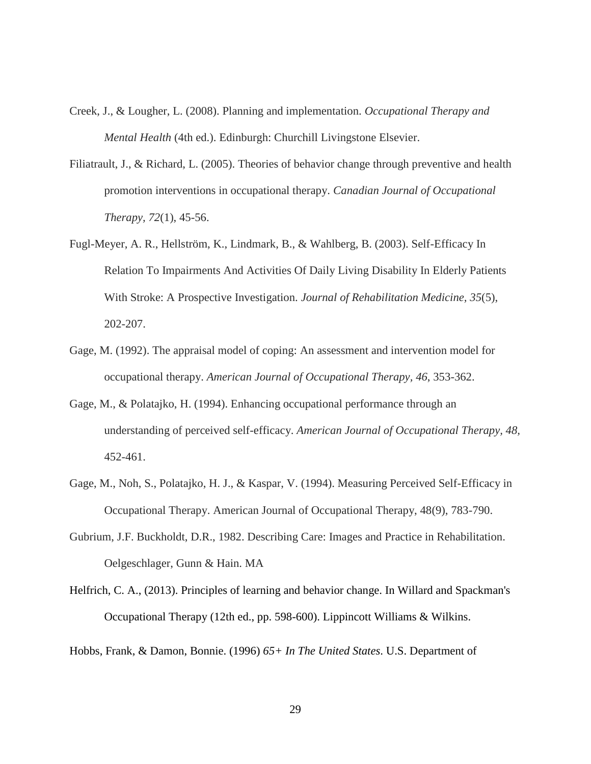- Creek, J., & Lougher, L. (2008). Planning and implementation. *Occupational Therapy and Mental Health* (4th ed.). Edinburgh: Churchill Livingstone Elsevier.
- Filiatrault, J., & Richard, L. (2005). Theories of behavior change through preventive and health promotion interventions in occupational therapy. *Canadian Journal of Occupational Therapy, 72*(1), 45-56.
- Fugl-Meyer, A. R., Hellström, K., Lindmark, B., & Wahlberg, B. (2003). Self-Efficacy In Relation To Impairments And Activities Of Daily Living Disability In Elderly Patients With Stroke: A Prospective Investigation. *Journal of Rehabilitation Medicine, 35*(5), 202-207.
- Gage, M. (1992). The appraisal model of coping: An assessment and intervention model for occupational therapy. *American Journal of Occupational Therapy, 46*, 353-362.
- Gage, M., & Polatajko, H. (1994). Enhancing occupational performance through an understanding of perceived self-efficacy. *American Journal of Occupational Therapy, 48,* 452-461.
- Gage, M., Noh, S., Polatajko, H. J., & Kaspar, V. (1994). Measuring Perceived Self-Efficacy in Occupational Therapy. American Journal of Occupational Therapy, 48(9), 783-790.
- Gubrium, J.F. Buckholdt, D.R., 1982. Describing Care: Images and Practice in Rehabilitation. Oelgeschlager, Gunn & Hain. MA
- Helfrich, C. A., (2013). Principles of learning and behavior change. In Willard and Spackman's Occupational Therapy (12th ed., pp. 598-600). Lippincott Williams & Wilkins.

Hobbs, Frank, & Damon, Bonnie. (1996) *65+ In The United States*. U.S. Department of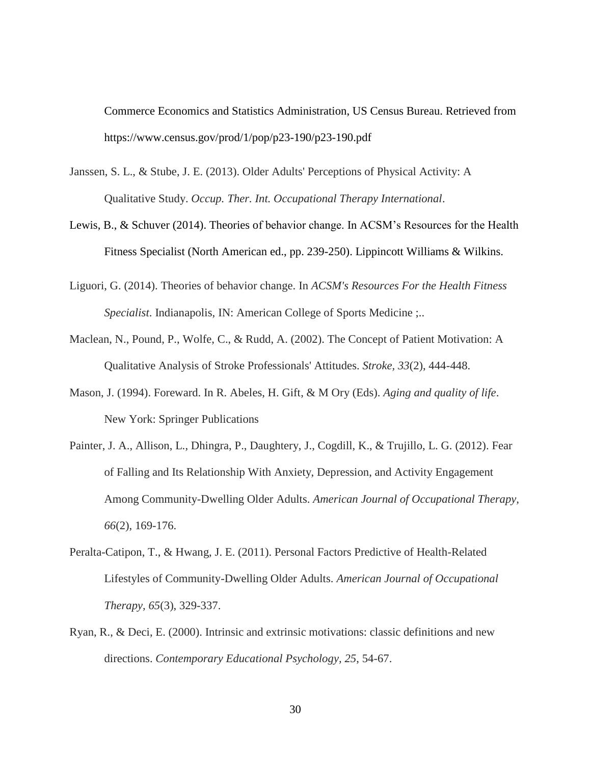Commerce Economics and Statistics Administration, US Census Bureau. Retrieved from https://www.census.gov/prod/1/pop/p23-190/p23-190.pdf

- Janssen, S. L., & Stube, J. E. (2013). Older Adults' Perceptions of Physical Activity: A Qualitative Study. *Occup. Ther. Int. Occupational Therapy International*.
- Lewis, B., & Schuver (2014). Theories of behavior change. In ACSM's Resources for the Health Fitness Specialist (North American ed., pp. 239-250). Lippincott Williams & Wilkins.
- Liguori, G. (2014). Theories of behavior change. In *ACSM's Resources For the Health Fitness Specialist*. Indianapolis, IN: American College of Sports Medicine ;..
- Maclean, N., Pound, P., Wolfe, C., & Rudd, A. (2002). The Concept of Patient Motivation: A Qualitative Analysis of Stroke Professionals' Attitudes. *Stroke, 33*(2), 444-448.
- Mason, J. (1994). Foreward. In R. Abeles, H. Gift, & M Ory (Eds). *Aging and quality of life*. New York: Springer Publications
- Painter, J. A., Allison, L., Dhingra, P., Daughtery, J., Cogdill, K., & Trujillo, L. G. (2012). Fear of Falling and Its Relationship With Anxiety, Depression, and Activity Engagement Among Community-Dwelling Older Adults. *American Journal of Occupational Therapy, 66*(2), 169-176.
- Peralta-Catipon, T., & Hwang, J. E. (2011). Personal Factors Predictive of Health-Related Lifestyles of Community-Dwelling Older Adults. *American Journal of Occupational Therapy, 65*(3), 329-337.
- Ryan, R., & Deci, E. (2000). Intrinsic and extrinsic motivations: classic definitions and new directions. *Contemporary Educational Psychology, 25*, 54-67.